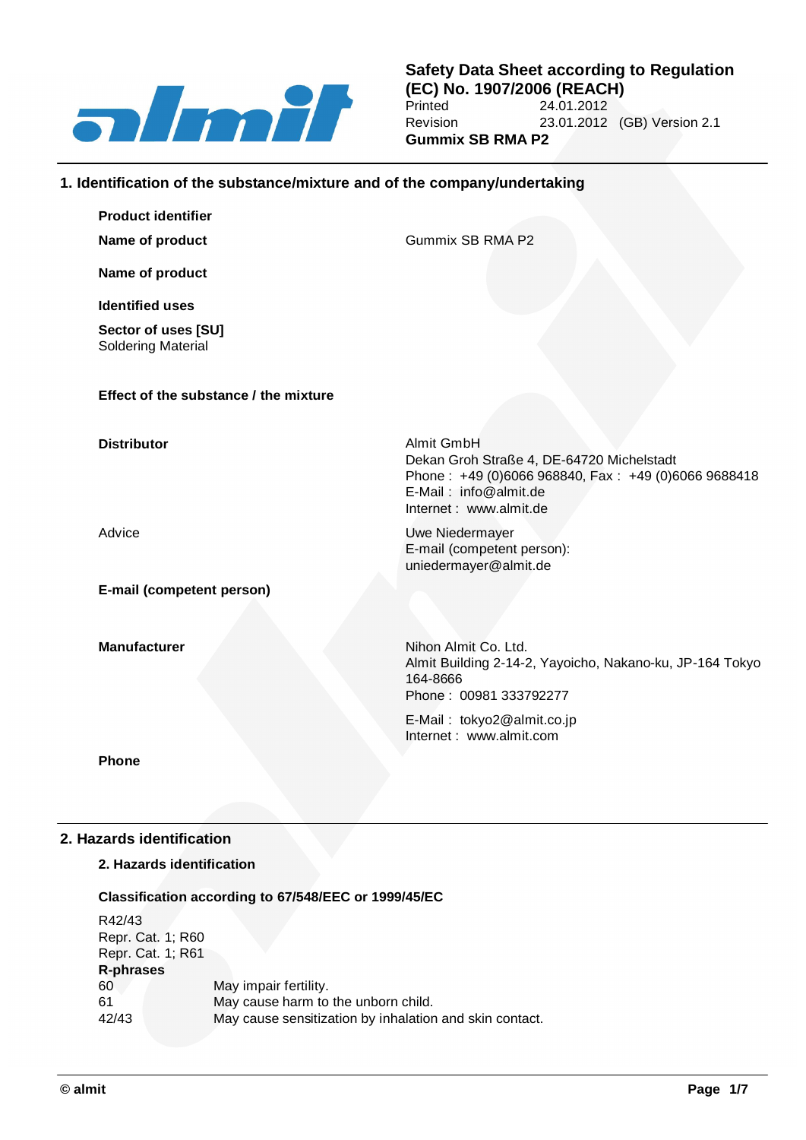

## **1. Identification of the substance/mixture and of the company/undertaking**

| <b>Product identifier</b>                        |                                                                                                                                                                   |
|--------------------------------------------------|-------------------------------------------------------------------------------------------------------------------------------------------------------------------|
| Name of product                                  | Gummix SB RMA P2                                                                                                                                                  |
| Name of product                                  |                                                                                                                                                                   |
| <b>Identified uses</b>                           |                                                                                                                                                                   |
| Sector of uses [SU]<br><b>Soldering Material</b> |                                                                                                                                                                   |
| Effect of the substance / the mixture            |                                                                                                                                                                   |
| <b>Distributor</b>                               | Almit GmbH<br>Dekan Groh Straße 4, DE-64720 Michelstadt<br>Phone: +49 (0)6066 968840, Fax: +49 (0)6066 9688418<br>E-Mail: info@almit.de<br>Internet: www.almit.de |
| Advice                                           | Uwe Niedermayer<br>E-mail (competent person):<br>uniedermayer@almit.de                                                                                            |
| E-mail (competent person)                        |                                                                                                                                                                   |
| <b>Manufacturer</b>                              | Nihon Almit Co. Ltd.<br>Almit Building 2-14-2, Yayoicho, Nakano-ku, JP-164 Tokyo<br>164-8666<br>Phone: 00981 333792277                                            |
|                                                  | E-Mail: tokyo2@almit.co.jp<br>Internet: www.almit.com                                                                                                             |
| <b>Phone</b>                                     |                                                                                                                                                                   |
|                                                  |                                                                                                                                                                   |

## **2. Hazards identification**

## **2. Hazards identification**

### **Classification according to 67/548/EEC or 1999/45/EC**

R42/43 Repr. Cat. 1; R60 Repr. Cat. 1; R61 **R-phrases** May impair fertility. 61 May cause harm to the unborn child. 42/43 May cause sensitization by inhalation and skin contact.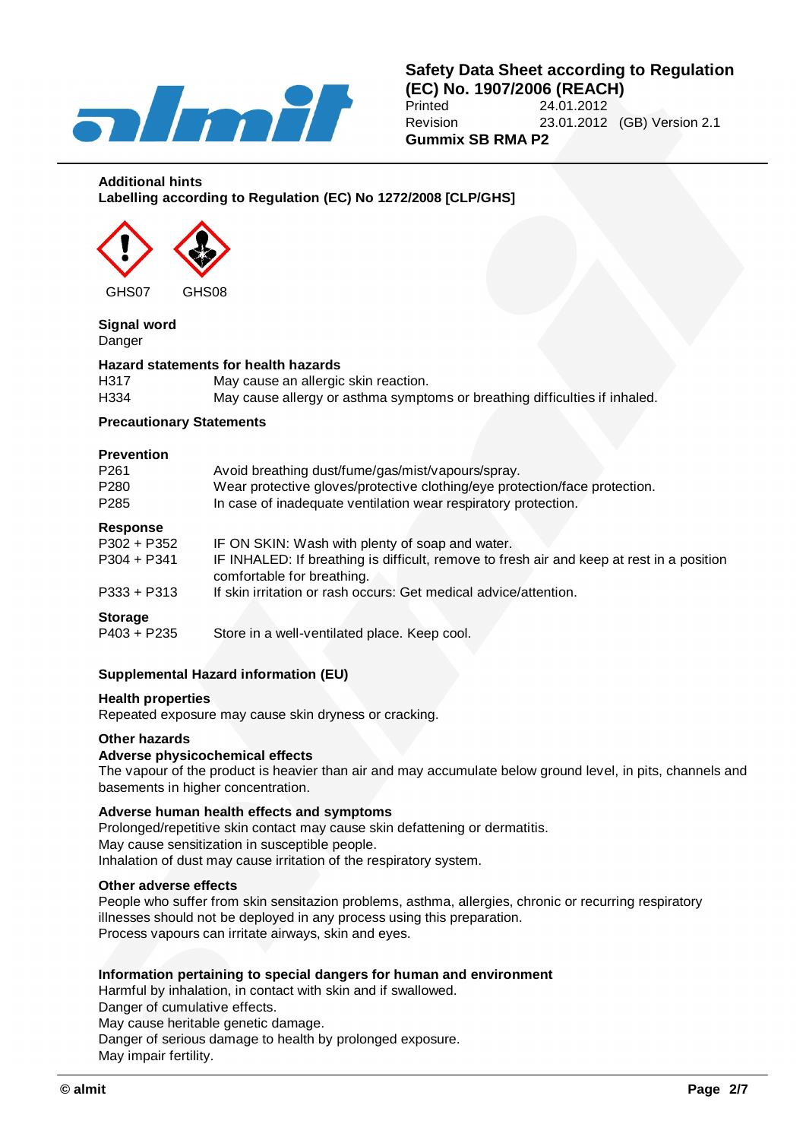

## **Additional hints Labelling according to Regulation (EC) No 1272/2008 [CLP/GHS]**



# **Signal word**

Danger

## **Hazard statements for health hazards**

| H317 | May cause an allergic skin reaction.                                       |
|------|----------------------------------------------------------------------------|
| H334 | May cause allergy or asthma symptoms or breathing difficulties if inhaled. |

## **Precautionary Statements**

### **Prevention**

| P261           | Avoid breathing dust/fume/gas/mist/vapours/spray.                                                                       |  |  |  |  |
|----------------|-------------------------------------------------------------------------------------------------------------------------|--|--|--|--|
| P280           | Wear protective gloves/protective clothing/eye protection/face protection.                                              |  |  |  |  |
| P285           | In case of inadequate ventilation wear respiratory protection.                                                          |  |  |  |  |
| Response       |                                                                                                                         |  |  |  |  |
| P302 + P352    | IF ON SKIN: Wash with plenty of soap and water.                                                                         |  |  |  |  |
| P304 + P341    | IF INHALED: If breathing is difficult, remove to fresh air and keep at rest in a position<br>comfortable for breathing. |  |  |  |  |
| P333 + P313    | If skin irritation or rash occurs: Get medical advice/attention.                                                        |  |  |  |  |
| <b>Storage</b> |                                                                                                                         |  |  |  |  |
| P403 + P235    | Store in a well-ventilated place. Keep cool.                                                                            |  |  |  |  |
|                |                                                                                                                         |  |  |  |  |

## **Supplemental Hazard information (EU)**

### **Health properties**

Repeated exposure may cause skin dryness or cracking.

### **Other hazards**

### **Adverse physicochemical effects**

The vapour of the product is heavier than air and may accumulate below ground level, in pits, channels and basements in higher concentration.

## **Adverse human health effects and symptoms**

Prolonged/repetitive skin contact may cause skin defattening or dermatitis. May cause sensitization in susceptible people. Inhalation of dust may cause irritation of the respiratory system.

### **Other adverse effects**

People who suffer from skin sensitazion problems, asthma, allergies, chronic or recurring respiratory illnesses should not be deployed in any process using this preparation. Process vapours can irritate airways, skin and eyes.

## **Information pertaining to special dangers for human and environment**

Harmful by inhalation, in contact with skin and if swallowed.

Danger of cumulative effects.

May cause heritable genetic damage.

Danger of serious damage to health by prolonged exposure.

May impair fertility.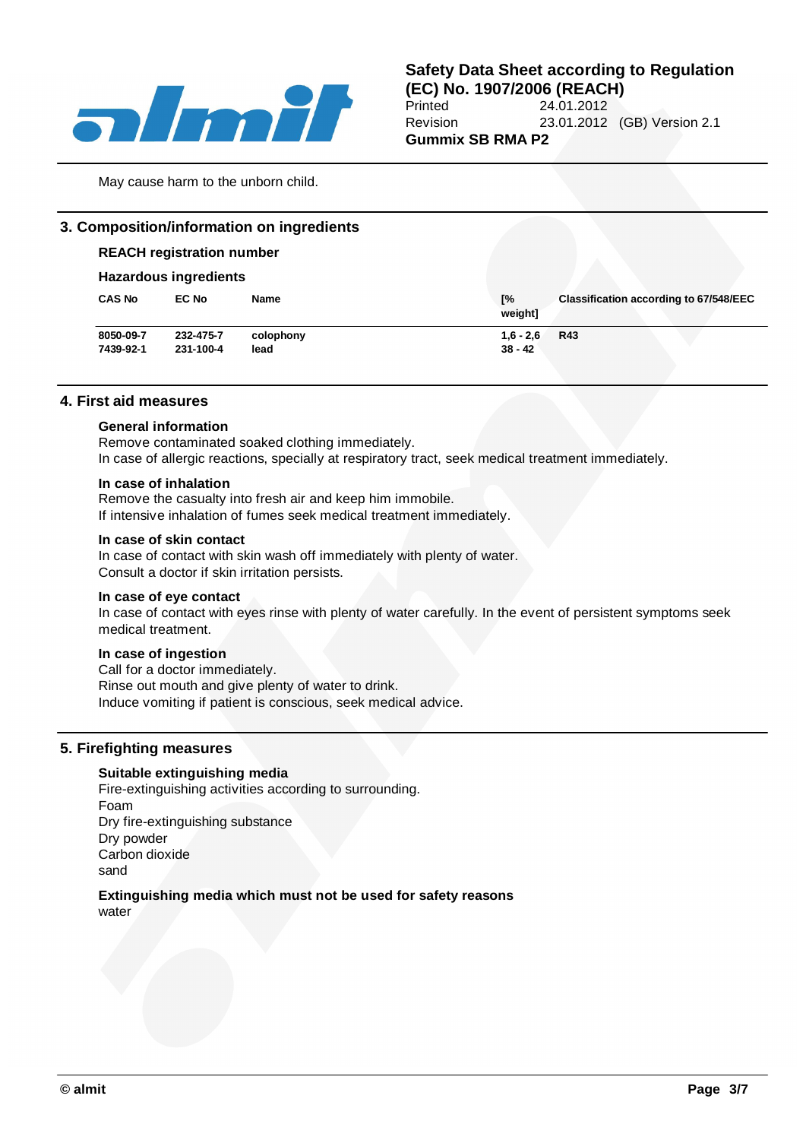

May cause harm to the unborn child.

## **3. Composition/information on ingredients**

### **REACH registration number**

### **Hazardous ingredients**

| <b>CAS No</b><br>Г%<br><b>EC No</b><br><b>Classification according to 67/548/EEC</b><br>Name<br>weight] |  |
|---------------------------------------------------------------------------------------------------------|--|
| 8050-09-7<br>232-475-7<br>$1,6 - 2,6$<br><b>R43</b><br>colophony                                        |  |
| 231-100-4<br>$38 - 42$<br>7439-92-1<br>lead                                                             |  |

### **4. First aid measures**

#### **General information**

Remove contaminated soaked clothing immediately. In case of allergic reactions, specially at respiratory tract, seek medical treatment immediately.

### **In case of inhalation**

Remove the casualty into fresh air and keep him immobile. If intensive inhalation of fumes seek medical treatment immediately.

#### **In case of skin contact**

In case of contact with skin wash off immediately with plenty of water. Consult a doctor if skin irritation persists.

#### **In case of eye contact**

In case of contact with eyes rinse with plenty of water carefully. In the event of persistent symptoms seek medical treatment.

#### **In case of ingestion**

Call for a doctor immediately. Rinse out mouth and give plenty of water to drink. Induce vomiting if patient is conscious, seek medical advice.

## **5. Firefighting measures**

### **Suitable extinguishing media**

Fire-extinguishing activities according to surrounding. Foam Dry fire-extinguishing substance Dry powder Carbon dioxide sand

### **Extinguishing media which must not be used for safety reasons** water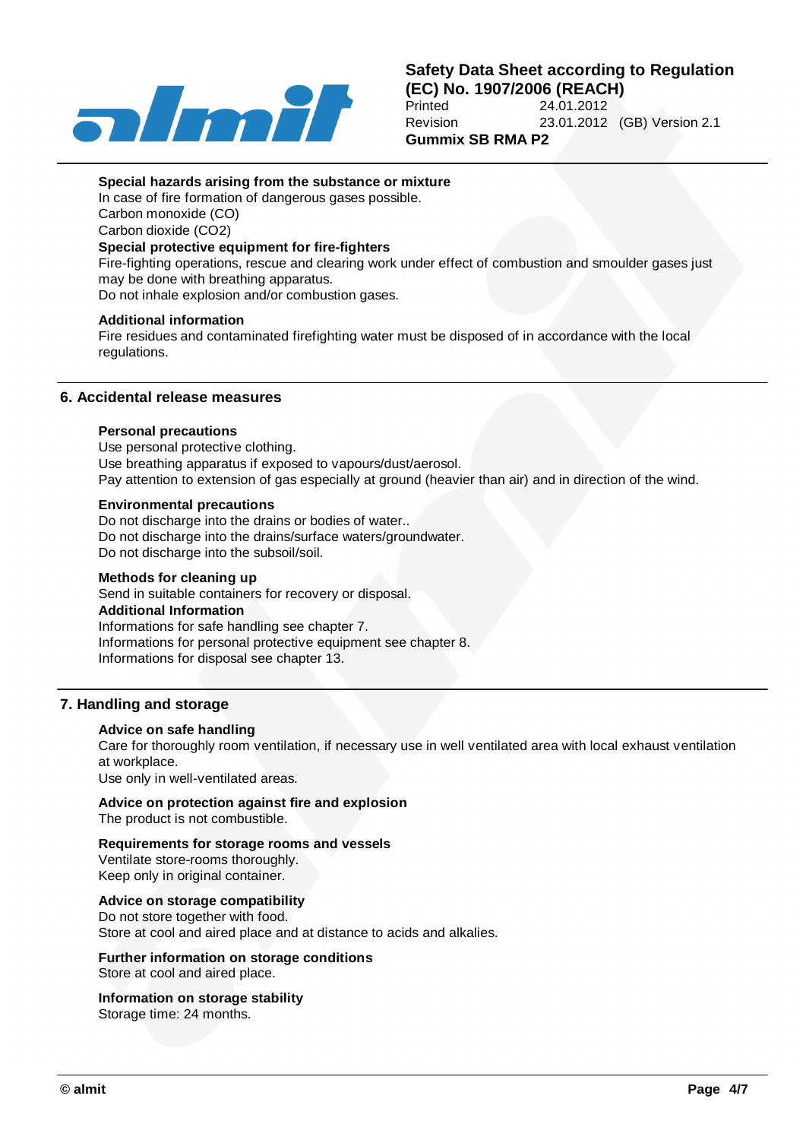

### **Special hazards arising from the substance or mixture**

In case of fire formation of dangerous gases possible. Carbon monoxide (CO)

Carbon dioxide (CO2)

## **Special protective equipment for fire-fighters**

Fire-fighting operations, rescue and clearing work under effect of combustion and smoulder gases just may be done with breathing apparatus.

Do not inhale explosion and/or combustion gases.

### **Additional information**

Fire residues and contaminated firefighting water must be disposed of in accordance with the local regulations.

## **6. Accidental release measures**

### **Personal precautions**

Use personal protective clothing. Use breathing apparatus if exposed to vapours/dust/aerosol. Pay attention to extension of gas especially at ground (heavier than air) and in direction of the wind.

### **Environmental precautions**

Do not discharge into the drains or bodies of water.. Do not discharge into the drains/surface waters/groundwater. Do not discharge into the subsoil/soil.

### **Methods for cleaning up**

Send in suitable containers for recovery or disposal. **Additional Information** Informations for safe handling see chapter 7. Informations for personal protective equipment see chapter 8. Informations for disposal see chapter 13.

## **7. Handling and storage**

### **Advice on safe handling**

Care for thoroughly room ventilation, if necessary use in well ventilated area with local exhaust ventilation at workplace.

Use only in well-ventilated areas.

### **Advice on protection against fire and explosion**

The product is not combustible.

### **Requirements for storage rooms and vessels**

Ventilate store-rooms thoroughly. Keep only in original container.

## **Advice on storage compatibility**

Do not store together with food. Store at cool and aired place and at distance to acids and alkalies.

**Further information on storage conditions**

Store at cool and aired place.

### **Information on storage stability**

Storage time: 24 months.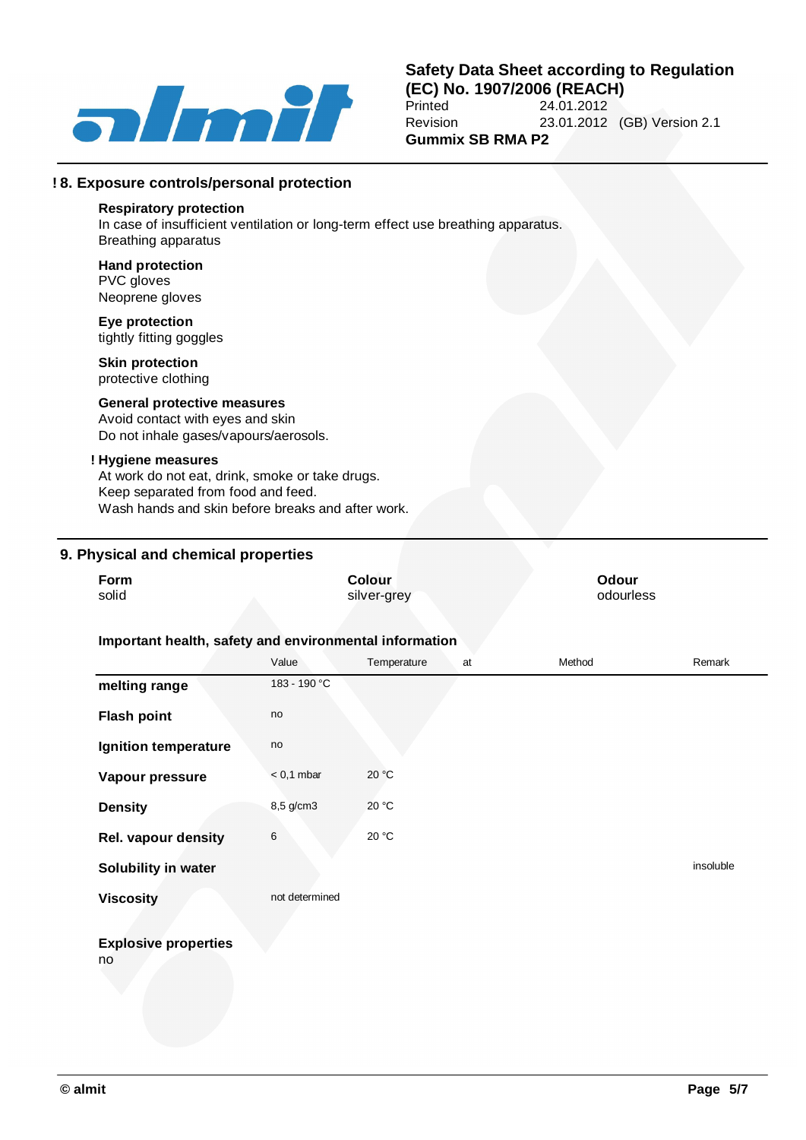

## **Safety Data Sheet according to Regulation (EC) No. 1907/2006 (REACH)** 24.01.2012 Revision 23.01.2012 (GB) Version 2.1 **Gummix SB RMA P2**

### **! 8. Exposure controls/personal protection**

### **Respiratory protection**

In case of insufficient ventilation or long-term effect use breathing apparatus. Breathing apparatus

#### **Hand protection** PVC gloves Neoprene gloves

**Eye protection** tightly fitting goggles

## **Skin protection**

protective clothing

## **General protective measures**

Avoid contact with eyes and skin Do not inhale gases/vapours/aerosols.

### **! Hygiene measures**

At work do not eat, drink, smoke or take drugs. Keep separated from food and feed. Wash hands and skin before breaks and after work.

## **9. Physical and chemical properties**

| Form<br>solid                                          |                | <b>Colour</b><br>silver-grey |        |           |  |  |
|--------------------------------------------------------|----------------|------------------------------|--------|-----------|--|--|
| Important health, safety and environmental information |                |                              |        |           |  |  |
|                                                        | Value          | Temperature<br>at            | Method | Remark    |  |  |
| melting range                                          | 183 - 190 °C   |                              |        |           |  |  |
| <b>Flash point</b>                                     | no             |                              |        |           |  |  |
| Ignition temperature                                   | no             |                              |        |           |  |  |
| Vapour pressure                                        | $< 0.1$ mbar   | 20 °C                        |        |           |  |  |
| <b>Density</b>                                         | 8,5 g/cm3      | 20 °C                        |        |           |  |  |
| <b>Rel. vapour density</b>                             | $\,6$          | 20 °C                        |        |           |  |  |
| Solubility in water                                    |                |                              |        | insoluble |  |  |
| <b>Viscosity</b>                                       | not determined |                              |        |           |  |  |
| <b>Explosive properties</b><br>no                      |                |                              |        |           |  |  |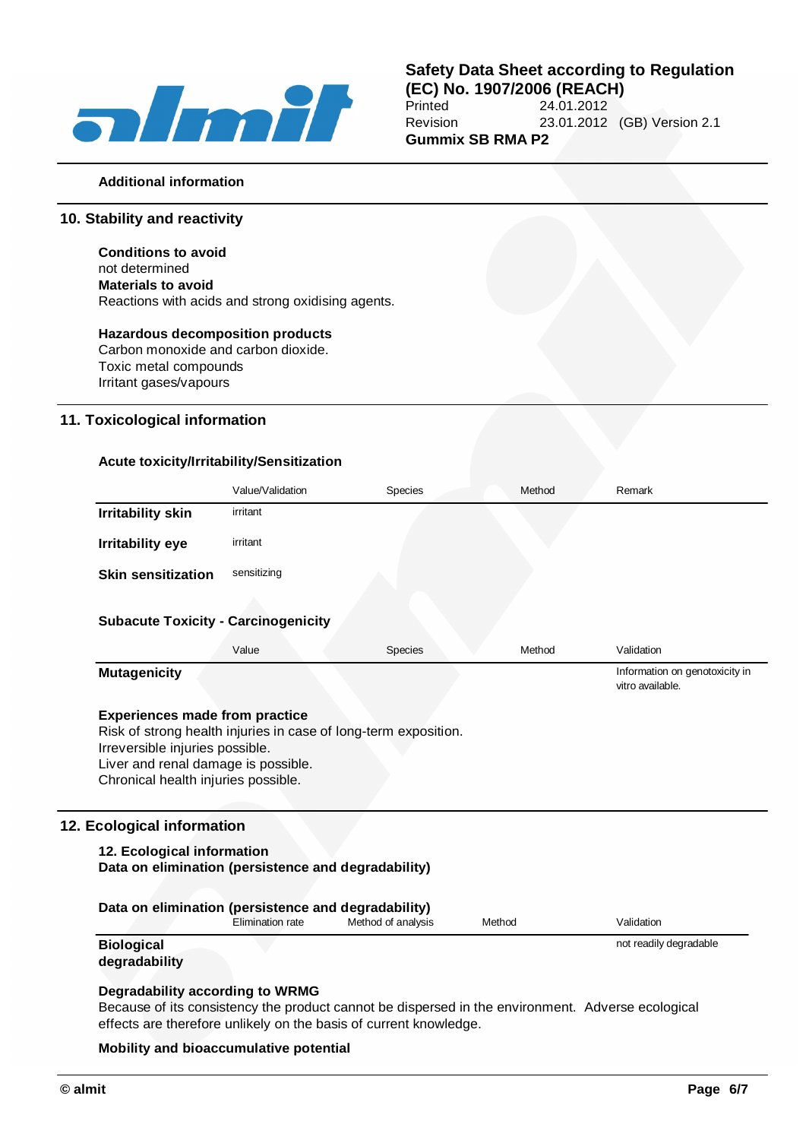

## **Safety Data Sheet according to Regulation (EC) No. 1907/2006 (REACH)** 24.01.2012 Revision 23.01.2012 (GB) Version 2.1 **Gummix SB RMA P2**

### **Additional information**

## **10. Stability and reactivity**

**Conditions to avoid** not determined **Materials to avoid** Reactions with acids and strong oxidising agents.

## **Hazardous decomposition products**

Carbon monoxide and carbon dioxide. Toxic metal compounds Irritant gases/vapours

## **11. Toxicological information**

### **Acute toxicity/Irritability/Sensitization**

|                                                                                                                                                                                                                           | Value/Validation | <b>Species</b> | Method | Remark                                             |
|---------------------------------------------------------------------------------------------------------------------------------------------------------------------------------------------------------------------------|------------------|----------------|--------|----------------------------------------------------|
| <b>Irritability skin</b>                                                                                                                                                                                                  | irritant         |                |        |                                                    |
| <b>Irritability eye</b>                                                                                                                                                                                                   | irritant         |                |        |                                                    |
| <b>Skin sensitization</b>                                                                                                                                                                                                 | sensitizing      |                |        |                                                    |
|                                                                                                                                                                                                                           |                  |                |        |                                                    |
| <b>Subacute Toxicity - Carcinogenicity</b>                                                                                                                                                                                |                  |                |        |                                                    |
|                                                                                                                                                                                                                           | Value            | Species        | Method | Validation                                         |
| <b>Mutagenicity</b>                                                                                                                                                                                                       |                  |                |        | Information on genotoxicity in<br>vitro available. |
| <b>Experiences made from practice</b><br>Risk of strong health injuries in case of long-term exposition.<br>Irreversible injuries possible.<br>Liver and renal damage is possible.<br>Chronical health injuries possible. |                  |                |        |                                                    |
| 12. Ecological information                                                                                                                                                                                                |                  |                |        |                                                    |
| 12. Ecological information<br>Data on elimination (persistence and degradability)                                                                                                                                         |                  |                |        |                                                    |

| Data on elimination (persistence and degradability) |                  |                    |        |                        |  |  |
|-----------------------------------------------------|------------------|--------------------|--------|------------------------|--|--|
|                                                     | Elimination rate | Method of analysis | Method | Validation             |  |  |
| <b>Biological</b><br>degradability                  |                  |                    |        | not readily degradable |  |  |

### **Degradability according to WRMG**

Because of its consistency the product cannot be dispersed in the environment. Adverse ecological effects are therefore unlikely on the basis of current knowledge.

#### **Mobility and bioaccumulative potential**